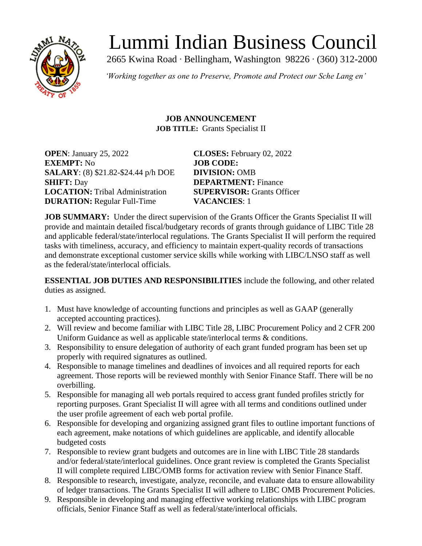

# Lummi Indian Business Council

2665 Kwina Road ∙ Bellingham, Washington 98226 ∙ (360) 312-2000

*'Working together as one to Preserve, Promote and Protect our Sche Lang en'*

#### **JOB ANNOUNCEMENT JOB TITLE:** Grants Specialist II

**OPEN**: January 25, 2022 **CLOSES:** February 02, 2022 **EXEMPT:** No **JOB CODE: SALARY**: (8) \$21.82-\$24.44 p/h DOE **DIVISION:** OMB **SHIFT:** Day **DEPARTMENT:** Finance **LOCATION:** Tribal Administration **SUPERVISOR:** Grants Officer **DURATION:** Regular Full-Time **VACANCIES**: 1

**JOB SUMMARY:** Under the direct supervision of the Grants Officer the Grants Specialist II will provide and maintain detailed fiscal/budgetary records of grants through guidance of LIBC Title 28 and applicable federal/state/interlocal regulations. The Grants Specialist II will perform the required tasks with timeliness, accuracy, and efficiency to maintain expert-quality records of transactions and demonstrate exceptional customer service skills while working with LIBC/LNSO staff as well as the federal/state/interlocal officials.

**ESSENTIAL JOB DUTIES AND RESPONSIBILITIES** include the following, and other related duties as assigned.

- 1. Must have knowledge of accounting functions and principles as well as GAAP (generally accepted accounting practices).
- 2. Will review and become familiar with LIBC Title 28, LIBC Procurement Policy and 2 CFR 200 Uniform Guidance as well as applicable state/interlocal terms & conditions.
- 3. Responsibility to ensure delegation of authority of each grant funded program has been set up properly with required signatures as outlined.
- 4. Responsible to manage timelines and deadlines of invoices and all required reports for each agreement. Those reports will be reviewed monthly with Senior Finance Staff. There will be no overbilling.
- 5. Responsible for managing all web portals required to access grant funded profiles strictly for reporting purposes. Grant Specialist II will agree with all terms and conditions outlined under the user profile agreement of each web portal profile.
- 6. Responsible for developing and organizing assigned grant files to outline important functions of each agreement, make notations of which guidelines are applicable, and identify allocable budgeted costs
- 7. Responsible to review grant budgets and outcomes are in line with LIBC Title 28 standards and/or federal/state/interlocal guidelines. Once grant review is completed the Grants Specialist II will complete required LIBC/OMB forms for activation review with Senior Finance Staff.
- 8. Responsible to research, investigate, analyze, reconcile, and evaluate data to ensure allowability of ledger transactions. The Grants Specialist II will adhere to LIBC OMB Procurement Policies.
- 9. Responsible in developing and managing effective working relationships with LIBC program officials, Senior Finance Staff as well as federal/state/interlocal officials.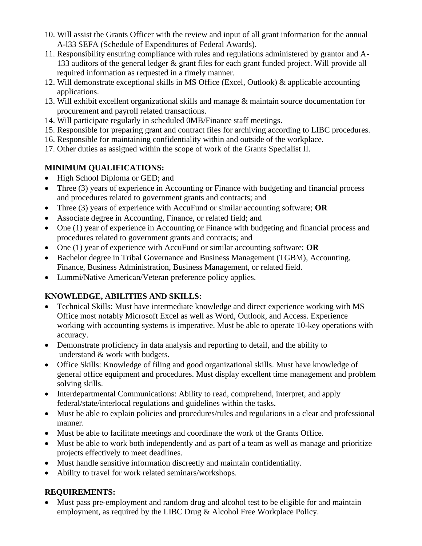- 10. Will assist the Grants Officer with the review and input of all grant information for the annual A-l33 SEFA (Schedule of Expenditures of Federal Awards).
- 11. Responsibility ensuring compliance with rules and regulations administered by grantor and A-133 auditors of the general ledger & grant files for each grant funded project. Will provide all required information as requested in a timely manner.
- 12. Will demonstrate exceptional skills in MS Office (Excel, Outlook) & applicable accounting applications.
- 13. Will exhibit excellent organizational skills and manage & maintain source documentation for procurement and payroll related transactions.
- 14. Will participate regularly in scheduled 0MB/Finance staff meetings.
- 15. Responsible for preparing grant and contract files for archiving according to LIBC procedures.
- 16. Responsible for maintaining confidentiality within and outside of the workplace.
- 17. Other duties as assigned within the scope of work of the Grants Specialist II.

## **MINIMUM QUALIFICATIONS:**

- High School Diploma or GED; and
- Three (3) years of experience in Accounting or Finance with budgeting and financial process and procedures related to government grants and contracts; and
- Three (3) years of experience with AccuFund or similar accounting software; **OR**
- Associate degree in Accounting, Finance, or related field; and
- One (1) year of experience in Accounting or Finance with budgeting and financial process and procedures related to government grants and contracts; and
- One (1) year of experience with AccuFund or similar accounting software; **OR**
- Bachelor degree in Tribal Governance and Business Management (TGBM), Accounting, Finance, Business Administration, Business Management, or related field.
- Lummi/Native American/Veteran preference policy applies.

# **KNOWLEDGE, ABILITIES AND SKILLS:**

- Technical Skills: Must have intermediate knowledge and direct experience working with MS Office most notably Microsoft Excel as well as Word, Outlook, and Access. Experience working with accounting systems is imperative. Must be able to operate 10-key operations with accuracy.
- Demonstrate proficiency in data analysis and reporting to detail, and the ability to understand & work with budgets.
- Office Skills: Knowledge of filing and good organizational skills. Must have knowledge of general office equipment and procedures. Must display excellent time management and problem solving skills.
- Interdepartmental Communications: Ability to read, comprehend, interpret, and apply federal/state/interlocal regulations and guidelines within the tasks.
- Must be able to explain policies and procedures/rules and regulations in a clear and professional manner.
- Must be able to facilitate meetings and coordinate the work of the Grants Office.
- Must be able to work both independently and as part of a team as well as manage and prioritize projects effectively to meet deadlines.
- Must handle sensitive information discreetly and maintain confidentiality.
- Ability to travel for work related seminars/workshops.

### **REQUIREMENTS:**

• Must pass pre-employment and random drug and alcohol test to be eligible for and maintain employment, as required by the LIBC Drug & Alcohol Free Workplace Policy.